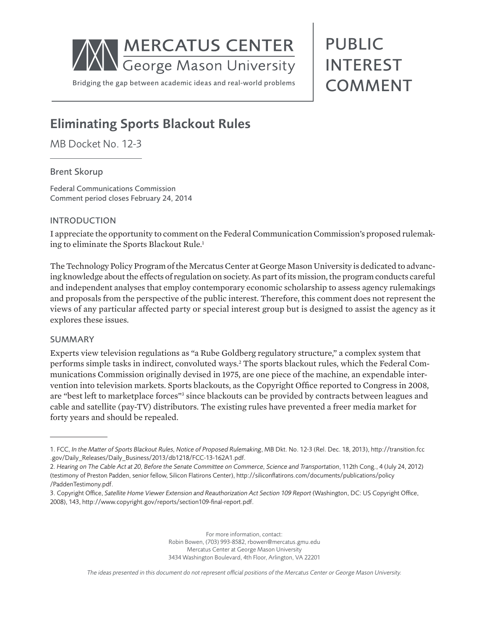

# PUBLIC INTEREST COMMENT

# Eliminating Sports Blackout Rules

MB Docket No. 12-3

### Brent Skorup

Federal Communications Commission Comment period closes February 24, 2014

# INTRODUCTION

I appreciate the opportunity to comment on the Federal Communication Commission's proposed rulemaking to eliminate the Sports Blackout Rule.<sup>1</sup>

The Technology Policy Program of the Mercatus Center at George Mason University is dedicated to advancing knowledge about the effects of regulation on society. As part of its mission, the program conducts careful and independent analyses that employ contemporary economic scholarship to assess agency rulemakings and proposals from the perspective of the public interest. Therefore, this comment does not represent the views of any particular affected party or special interest group but is designed to assist the agency as it explores these issues.

### SUMMARY

Experts view television regulations as "a Rube Goldberg regulatory structure," a complex system that performs simple tasks in indirect, convoluted ways.2 The sports blackout rules, which the Federal Communications Commission originally devised in 1975, are one piece of the machine, an expendable intervention into television markets. Sports blackouts, as the Copyright Office reported to Congress in 2008, are "best left to marketplace forces"<sup>3</sup> since blackouts can be provided by contracts between leagues and cable and satellite (pay-TV) distributors. The existing rules have prevented a freer media market for forty years and should be repealed.

For more information, contact: Robin Bowen, (703) 993-8582, rbowen@mercatus.gmu.edu Mercatus Center at George Mason University 3434 Washington Boulevard, 4th Floor, Arlington, VA 22201

*The ideas presented in this document do not represent official positions of the Mercatus Center or George Mason University.*

<sup>1.</sup> FCC, *In the Matter of Sports Blackout Rules, Notice of Proposed Rulemaking*, MB Dkt. No. 12-3 (Rel. Dec. 18, 2013), http://transition.fcc .gov/Daily\_Releases/Daily\_Business/2013/db1218/FCC-13-162A1.pdf.

<sup>2.</sup> *Hearing on The Cable Act at 20, Before the Senate Committee on Commerce, Science and Transportation*, 112th Cong., 4 (July 24, 2012) (testimony of Preston Padden, senior fellow, Silicon Flatirons Center), http://siliconflatirons.com/documents/publications/policy /PaddenTestimony.pdf.

<sup>3.</sup> Copyright Office, *Satellite Home Viewer Extension and Reauthorization Act Section 109 Report* (Washington, DC: US Copyright Office, 2008), 143, http://www.copyright.gov/reports/section109-final-report.pdf.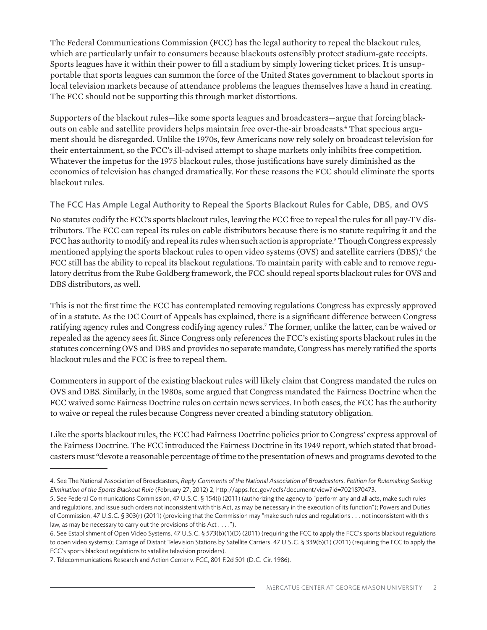The Federal Communications Commission (FCC) has the legal authority to repeal the blackout rules, which are particularly unfair to consumers because blackouts ostensibly protect stadium-gate receipts. Sports leagues have it within their power to fill a stadium by simply lowering ticket prices. It is unsupportable that sports leagues can summon the force of the United States government to blackout sports in local television markets because of attendance problems the leagues themselves have a hand in creating. The FCC should not be supporting this through market distortions.

Supporters of the blackout rules—like some sports leagues and broadcasters—argue that forcing blackouts on cable and satellite providers helps maintain free over-the-air broadcasts.<sup>4</sup> That specious argument should be disregarded. Unlike the 1970s, few Americans now rely solely on broadcast television for their entertainment, so the FCC's ill-advised attempt to shape markets only inhibits free competition. Whatever the impetus for the 1975 blackout rules, those justifications have surely diminished as the economics of television has changed dramatically. For these reasons the FCC should eliminate the sports blackout rules.

# The FCC Has Ample Legal Authority to Repeal the Sports Blackout Rules for Cable, DBS, and OVS

No statutes codify the FCC's sports blackout rules, leaving the FCC free to repeal the rules for all pay-TV distributors. The FCC can repeal its rules on cable distributors because there is no statute requiring it and the FCC has authority to modify and repeal its rules when such action is appropriate.<sup>5</sup> Though Congress expressly mentioned applying the sports blackout rules to open video systems (OVS) and satellite carriers (DBS),<sup>6</sup> the FCC still has the ability to repeal its blackout regulations. To maintain parity with cable and to remove regulatory detritus from the Rube Goldberg framework, the FCC should repeal sports blackout rules for OVS and DBS distributors, as well.

This is not the first time the FCC has contemplated removing regulations Congress has expressly approved of in a statute. As the DC Court of Appeals has explained, there is a significant difference between Congress ratifying agency rules and Congress codifying agency rules.7 The former, unlike the latter, can be waived or repealed as the agency sees fit. Since Congress only references the FCC's existing sports blackout rules in the statutes concerning OVS and DBS and provides no separate mandate, Congress has merely ratified the sports blackout rules and the FCC is free to repeal them.

Commenters in support of the existing blackout rules will likely claim that Congress mandated the rules on OVS and DBS. Similarly, in the 1980s, some argued that Congress mandated the Fairness Doctrine when the FCC waived some Fairness Doctrine rules on certain news services. In both cases, the FCC has the authority to waive or repeal the rules because Congress never created a binding statutory obligation.

Like the sports blackout rules, the FCC had Fairness Doctrine policies prior to Congress' express approval of the Fairness Doctrine. The FCC introduced the Fairness Doctrine in its 1949 report, which stated that broadcasters must "devote a reasonable percentage of time to the presentation of news and programs devoted to the

<sup>4.</sup> See The National Association of Broadcasters, *Reply Comments of the National Association of Broadcasters, Petition for Rulemaking Seeking Elimination of the Sports Blackout Rule* (February 27, 2012) 2, http://apps.fcc.gov/ecfs/document/view?id=7021870473.

<sup>5.</sup> See Federal Communications Commission, 47 U.S.C. § 154(i) (2011) (authorizing the agency to "perform any and all acts, make such rules and regulations, and issue such orders not inconsistent with this Act, as may be necessary in the execution of its function"); Powers and Duties of Commission, 47 U.S.C. § 303(r) (2011) (providing that the Commission may "make such rules and regulations . . . not inconsistent with this law, as may be necessary to carry out the provisions of this Act . . . .").

<sup>6.</sup> See Establishment of Open Video Systems, 47 U.S.C. § 573(b)(1)(D) (2011) (requiring the FCC to apply the FCC's sports blackout regulations to open video systems); Carriage of Distant Television Stations by Satellite Carriers, 47 U.S.C. § 339(b)(1) (2011) (requiring the FCC to apply the FCC's sports blackout regulations to satellite television providers).

<sup>7.</sup> Telecommunications Research and Action Center v. FCC, 801 F.2d 501 (D.C. Cir. 1986).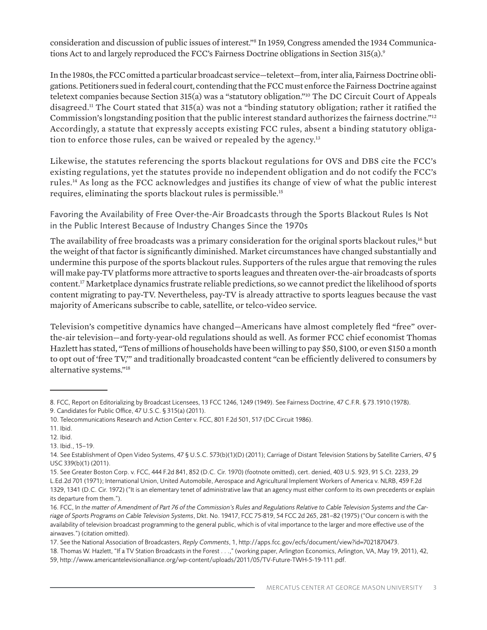consideration and discussion of public issues of interest."8 In 1959, Congress amended the 1934 Communications Act to and largely reproduced the FCC's Fairness Doctrine obligations in Section 315(a).9

In the 1980s, the FCC omitted a particular broadcast service—teletext—from, inter alia, Fairness Doctrine obligations. Petitioners sued in federal court, contending that the FCC must enforce the Fairness Doctrine against teletext companies because Section 315(a) was a "statutory obligation."10 The DC Circuit Court of Appeals disagreed.11 The Court stated that 315(a) was not a "binding statutory obligation; rather it ratified the Commission's longstanding position that the public interest standard authorizes the fairness doctrine."12 Accordingly, a statute that expressly accepts existing FCC rules, absent a binding statutory obligation to enforce those rules, can be waived or repealed by the agency.<sup>13</sup>

Likewise, the statutes referencing the sports blackout regulations for OVS and DBS cite the FCC's existing regulations, yet the statutes provide no independent obligation and do not codify the FCC's rules.14 As long as the FCC acknowledges and justifies its change of view of what the public interest requires, eliminating the sports blackout rules is permissible.15

Favoring the Availability of Free Over-the-Air Broadcasts through the Sports Blackout Rules Is Not in the Public Interest Because of Industry Changes Since the 1970s

The availability of free broadcasts was a primary consideration for the original sports blackout rules,<sup>16</sup> but the weight of that factor is significantly diminished. Market circumstances have changed substantially and undermine this purpose of the sports blackout rules. Supporters of the rules argue that removing the rules will make pay-TV platforms more attractive to sports leagues and threaten over-the-air broadcasts of sports content.17 Marketplace dynamics frustrate reliable predictions, so we cannot predict the likelihood of sports content migrating to pay-TV. Nevertheless, pay-TV is already attractive to sports leagues because the vast majority of Americans subscribe to cable, satellite, or telco-video service.

Television's competitive dynamics have changed—Americans have almost completely fled "free" overthe-air television—and forty-year-old regulations should as well. As former FCC chief economist Thomas Hazlett has stated, "Tens of millions of households have been willing to pay \$50, \$100, or even \$150 a month to opt out of 'free TV,'" and traditionally broadcasted content "can be efficiently delivered to consumers by alternative systems."18

<sup>8.</sup> FCC, Report on Editorializing by Broadcast Licensees, 13 FCC 1246, 1249 (1949). See Fairness Doctrine, 47 C.F.R. § 73.1910 (1978).

<sup>9.</sup> Candidates for Public Office, 47 U.S.C. § 315(a) (2011).

<sup>10.</sup> Telecommunications Research and Action Center v. FCC, 801 F.2d 501, 517 (DC Circuit 1986).

<sup>11.</sup> Ibid.

<sup>12.</sup> Ibid.

<sup>13.</sup> Ibid., 15–19.

<sup>14.</sup> See Establishment of Open Video Systems, 47 § U.S.C. 573(b)(1)(D) (2011); Carriage of Distant Television Stations by Satellite Carriers, 47 § USC 339(b)(1) (2011).

<sup>15.</sup> See Greater Boston Corp. v. FCC, 444 F.2d 841, 852 (D.C. Cir. 1970) (footnote omitted), cert. denied, 403 U.S. 923, 91 S.Ct. 2233, 29 L.Ed.2d 701 (1971); International Union, United Automobile, Aerospace and Agricultural Implement Workers of America v. NLRB, 459 F.2d 1329, 1341 (D.C. Cir. 1972) ("It is an elementary tenet of administrative law that an agency must either conform to its own precedents or explain its departure from them.").

<sup>16.</sup> FCC, I*n the matter of Amendment of Part 76 of the Commission's Rules and Regulations Relative to Cable Television Systems and the Carriage of Sports Programs on Cable Television Systems*, Dkt. No. 19417, FCC 75-819, 54 FCC 2d 265, 281–82 (1975) ("Our concern is with the availability of television broadcast programming to the general public, which is of vital importance to the larger and more effective use of the airwaves.") (citation omitted).

<sup>17.</sup> See the National Association of Broadcasters, *Reply Comments*, 1, http://apps.fcc.gov/ecfs/document/view?id=7021870473.

<sup>18.</sup> Thomas W. Hazlett, "If a TV Station Broadcasts in the Forest . . .," (working paper, Arlington Economics, Arlington, VA, May 19, 2011), 42,

<sup>59,</sup> http://www.americantelevisionalliance.org/wp-content/uploads/2011/05/TV-Future-TWH-5-19-111.pdf.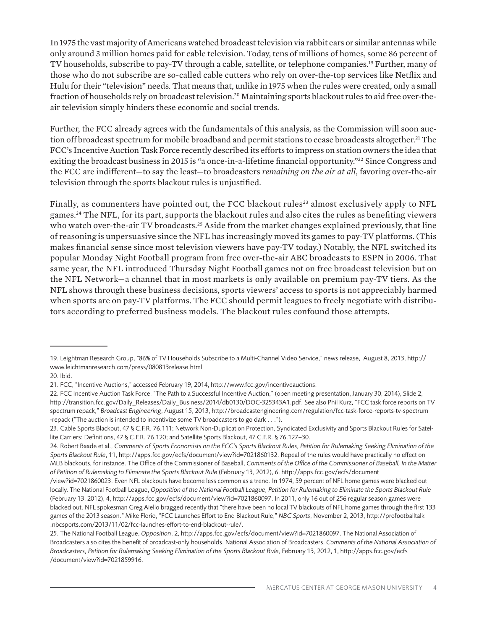In 1975 the vast majority of Americans watched broadcast television via rabbit ears or similar antennas while only around 3 million homes paid for cable television. Today, tens of millions of homes, some 86 percent of TV households, subscribe to pay-TV through a cable, satellite, or telephone companies.19 Further, many of those who do not subscribe are so-called cable cutters who rely on over-the-top services like Netflix and Hulu for their "television" needs. That means that, unlike in 1975 when the rules were created, only a small fraction of households rely on broadcast television.20 Maintaining sports blackout rules to aid free over-theair television simply hinders these economic and social trends.

Further, the FCC already agrees with the fundamentals of this analysis, as the Commission will soon auction off broadcast spectrum for mobile broadband and permit stations to cease broadcasts altogether.<sup>21</sup> The FCC's Incentive Auction Task Force recently described its efforts to impress on station owners the idea that exiting the broadcast business in 2015 is "a once-in-a-lifetime financial opportunity."<sup>22</sup> Since Congress and the FCC are indifferent—to say the least—to broadcasters *remaining on the air at all*, favoring over-the-air television through the sports blackout rules is unjustified.

Finally, as commenters have pointed out, the FCC blackout rules<sup>23</sup> almost exclusively apply to NFL games.24 The NFL, for its part, supports the blackout rules and also cites the rules as benefiting viewers who watch over-the-air TV broadcasts.<sup>25</sup> Aside from the market changes explained previously, that line of reasoning is unpersuasive since the NFL has increasingly moved its games to pay-TV platforms. (This makes financial sense since most television viewers have pay-TV today.) Notably, the NFL switched its popular Monday Night Football program from free over-the-air ABC broadcasts to ESPN in 2006. That same year, the NFL introduced Thursday Night Football games not on free broadcast television but on the NFL Network—a channel that in most markets is only available on premium pay-TV tiers. As the NFL shows through these business decisions, sports viewers' access to sports is not appreciably harmed when sports are on pay-TV platforms. The FCC should permit leagues to freely negotiate with distributors according to preferred business models. The blackout rules confound those attempts.

<sup>19.</sup> Leightman Research Group, "86% of TV Households Subscribe to a Multi-Channel Video Service," news release, August 8, 2013, http:// www.leichtmanresearch.com/press/080813release.html.

<sup>20.</sup> Ibid.

<sup>21.</sup> FCC, "Incentive Auctions," accessed February 19, 2014, http://www.fcc.gov/incentiveauctions.

<sup>22.</sup> FCC Incentive Auction Task Force, "The Path to a Successful Incentive Auction," (open meeting presentation, January 30, 2014), Slide 2, http://transition.fcc.gov/Daily\_Releases/Daily\_Business/2014/db0130/DOC-325343A1.pdf. See also Phil Kurz, "FCC task force reports on TV spectrum repack," *Broadcast Engineering*, August 15, 2013, http://broadcastengineering.com/regulation/fcc-task-force-reports-tv-spectrum -repack ("The auction is intended to incentivize some TV broadcasters to go dark . . .").

<sup>23.</sup> Cable Sports Blackout, 47 § C.F.R. 76.111; Network Non-Duplication Protection, Syndicated Exclusivity and Sports Blackout Rules for Satellite Carriers: Definitions, 47 § C.F.R. 76.120; and Satellite Sports Blackout, 47 C.F.R. § 76.127–30.

<sup>24.</sup> Robert Baade et al., *Comments of Sports Economists on the FCC's Sports Blackout Rules, Petition for Rulemaking Seeking Elimination of the Sports Blackout Rule*, 11, http://apps.fcc.gov/ecfs/document/view?id=7021860132. Repeal of the rules would have practically no effect on MLB blackouts, for instance. The Office of the Commissioner of Baseball, *Comments of the Office of the Commissioner of Baseball, In the Matter of Petition of Rulemaking to Eliminate the Sports Blackout Rule* (February 13, 2012), 6, http://apps.fcc.gov/ecfs/document

<sup>/</sup>view?id=7021860023. Even NFL blackouts have become less common as a trend. In 1974, 59 percent of NFL home games were blacked out locally. The National Football League, *Opposition of the National Football League, Petition for Rulemaking to Eliminate the Sports Blackout Rule* (February 13, 2012), 4, http://apps.fcc.gov/ecfs/document/view?id=7021860097. In 2011, only 16 out of 256 regular season games were blacked out. NFL spokesman Greg Aiello bragged recently that "there have been no local TV blackouts of NFL home games through the first 133 games of the 2013 season." Mike Florio, "FCC Launches Effort to End Blackout Rule," *NBC Sports*, November 2, 2013, http://profootballtalk .nbcsports.com/2013/11/02/fcc-launches-effort-to-end-blackout-rule/.

<sup>25.</sup> The National Football League, *Opposition*, 2, http://apps.fcc.gov/ecfs/document/view?id=7021860097. The National Association of Broadcasters also cites the benefit of broadcast-only households. National Association of Broadcasters, *Comments of the National Association of Broadcasters, Petition for Rulemaking Seeking Elimination of the Sports Blackout Rule*, February 13, 2012, 1, http://apps.fcc.gov/ecfs /document/view?id=7021859916.